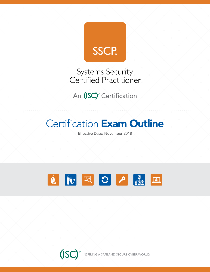

Systems Security<br>Certified Practitioner

An (ISC)<sup>2</sup> Certification

# **Certification Exam Outline**

Effective Date: November 2018



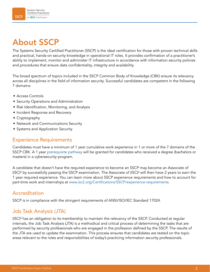# About SSCP

The Systems Security Certified Practitioner (SSCP) is the ideal certification for those with proven technical skills and practical, hands-on security knowledge in operational IT roles. It provides confirmation of a practitioner's ability to implement, monitor and administer IT infrastructure in accordance with information security policies and procedures that ensure data confidentiality, integrity and availability.

The broad spectrum of topics included in the SSCP Common Body of Knowledge (CBK) ensure its relevancy across all disciplines in the field of information security. Successful candidates are competent in the following 7 domains:

- Access Controls
- Security Operations and Administration
- Risk Identification, Monitoring, and Analysis
- Incident Response and Recovery
- Cryptography
- Network and Communications Security
- Systems and Application Security

### Experience Requirements

Candidates must have a minimum of 1 year cumulative work experience in 1 or more of the 7 domains of the SSCP CBK. A 1 year [prerequisite pathway](https://www.isc2.org/Certifications/SSCP/Prerequisite-Pathway) will be granted for candidates who received a degree (bachelors or masters) in a cybersecurity program.

A candidate that doesn't have the required experience to become an SSCP may become an Associate of (ISC)² by successfully passing the SSCP examination. The Associate of (ISC)² will then have 2 years to earn the 1 year required experience. You can learn more about SSCP experience requirements and how to account for part-time work and internships at [www.isc2.org/Certifications/SSCP/experience-requirements.](http://www.isc2.org/exam-legal-notice)

### Accreditation

SSCP is in compliance with the stringent requirements of ANSI/ISO/IEC Standard 17024.

## Job Task Analysis (JTA)

(ISC)² has an obligation to its membership to maintain the relevancy of the SSCP. Conducted at regular intervals, the Job Task Analysis (JTA) is a methodical and critical process of determining the tasks that are performed by security professionals who are engaged in the profession defined by the SSCP. The results of the JTA are used to update the examination. This process ensures that candidates are tested on the topic areas relevant to the roles and responsibilities of today's practicing information security professionals.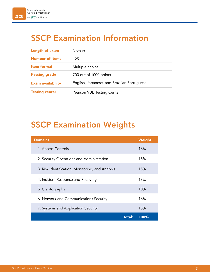# SSCP Examination Information

| Length of exam           | 3 hours                                     |
|--------------------------|---------------------------------------------|
| <b>Number of items</b>   | 125                                         |
| <b>Item format</b>       | Multiple choice                             |
| <b>Passing grade</b>     | 700 out of 1000 points                      |
| <b>Exam availability</b> | English, Japanese, and Brazilian Portuguese |
| <b>Testing center</b>    | Pearson VUE Testing Center                  |

# SSCP Examination Weights

| <b>Domains</b>                                   | Weight |
|--------------------------------------------------|--------|
| 1. Access Controls                               | 16%    |
| 2. Security Operations and Administration        | 15%    |
| 3. Risk Identification, Monitoring, and Analysis | 15%    |
| 4. Incident Response and Recovery                | 13%    |
| 5. Cryptography                                  | 10%    |
| 6. Network and Communications Security           | 16%    |
| 7. Systems and Application Security              | 15%    |
| <b>Total:</b>                                    | 100%   |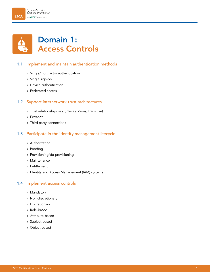

#### 1.1 Implement and maintain authentication methods

- » Single/multifactor authentication
- » Single sign-on
- » Device authentication
- » Federated access

#### 1.2 Support internetwork trust architectures

- » Trust relationships (e.g., 1-way, 2-way, transitive)
- » Extranet
- » Third party connections

#### 1.3 Participate in the identity management lifecycle

- » Authorization
- » Proofing
- » Provisioning/de-provisioning
- » Maintenance
- » Entitlement
- » Identity and Access Management (IAM) systems

#### 1.4 Implement access controls

- » Mandatory
- » Non-discretionary
- » Discretionary
- » Role-based
- » Attribute-based
- » Subject-based
- » Object-based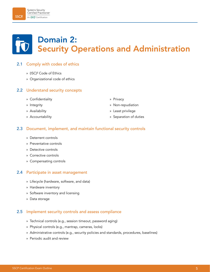# Domain 2: Security Operations and Administration

### 2.1 Comply with codes of ethics

- » (ISC)² Code of Ethics
- » Organizational code of ethics

#### 2.2 Understand security concepts

- » Confidentiality
- » Integrity
- » Availability
- » Accountability
- » Privacy
- » Non-repudiation
- » Least privilege
- » Separation of duties

#### 2.3 Document, implement, and maintain functional security controls

- » Deterrent controls
- » Preventative controls
- » Detective controls
- » Corrective controls
- » Compensating controls

#### 2.4 Participate in asset management

- » Lifecycle (hardware, software, and data)
- » Hardware inventory
- » Software inventory and licensing
- » Data storage

#### 2.5 Implement security controls and assess compliance

- » Technical controls (e.g., session timeout, password aging)
- » Physical controls (e.g., mantrap, cameras, locks)
- » Administrative controls (e.g., security policies and standards, procedures, baselines)
- » Periodic audit and review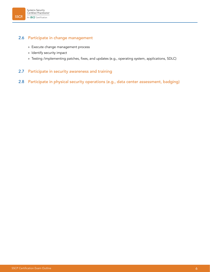#### 2.6 Participate in change management

- » Execute change management process
- » Identify security impact
- » Testing /implementing patches, fixes, and updates (e.g., operating system, applications, SDLC)

#### 2.7 Participate in security awareness and training

#### 2.8 Participate in physical security operations (e.g., data center assessment, badging)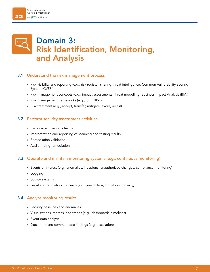## Domain 3: Risk Identification, Monitoring, and Analysis

#### 3.1 Understand the risk management process

- » Risk visibility and reporting (e.g., risk register, sharing threat intelligence, Common Vulnerability Scoring System (CVSS))
- » Risk management concepts (e.g., impact assessments, threat modelling, Business Impact Analysis (BIA))
- » Risk management frameworks (e.g., ISO, NIST)
- » Risk treatment (e.g., accept, transfer, mitigate, avoid, recast)

#### 3.2 Perform security assessment activities

- » Participate in security testing
- » Interpretation and reporting of scanning and testing results
- » Remediation validation
- » Audit finding remediation

#### 3.3 Operate and maintain monitoring systems (e.g., continuous monitoring)

- » Events of interest (e.g., anomalies, intrusions, unauthorized changes, compliance monitoring)
- » Logging
- » Source systems
- » Legal and regulatory concerns (e.g., jurisdiction, limitations, privacy)

#### 3.4 Analyze monitoring results

- » Security baselines and anomalies
- » Visualizations, metrics, and trends (e.g., dashboards, timelines)
- » Event data analysis
- » Document and communicate findings (e.g., escalation)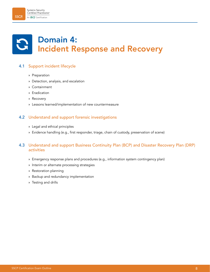# Domain 4: Incident Response and Recovery

### 4.1 Support incident lifecycle

- » Preparation
- » Detection, analysis, and escalation
- » Containment
- » Eradication
- » Recovery
- » Lessons learned/implementation of new countermeasure

#### 4.2 Understand and support forensic investigations

- » Legal and ethical principles
- » Evidence handling (e.g., first responder, triage, chain of custody, preservation of scene)

#### 4.3 Understand and support Business Continuity Plan (BCP) and Disaster Recovery Plan (DRP) activities

- » Emergency response plans and procedures (e.g., information system contingency plan)
- » Interim or alternate processing strategies
- » Restoration planning
- » Backup and redundancy implementation
- » Testing and drills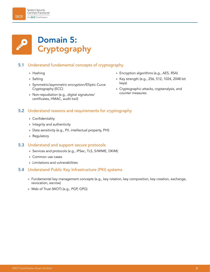

#### 5.1 Understand fundamental concepts of cryptography

- » Hashing
- » Salting
- » Symmetric/asymmetric encryption/Elliptic Curve Cryptography (ECC)
- » Non-repudiation (e.g., digital signatures/ certificates, HMAC, audit trail)
- » Encryption algorithms (e.g., AES, RSA)
- » Key strength (e.g., 256, 512, 1024, 2048 bit keys)
- » Cryptographic attacks, cryptanalysis, and counter measures

#### 5.2 Understand reasons and requirements for cryptography

- » Confidentiality
- » Integrity and authenticity
- » Data sensitivity (e.g., PII, intellectual property, PHI)
- » Regulatory

#### 5.3 Understand and support secure protocols

- » Services and protocols (e.g., IPSec, TLS, S/MIME, DKIM)
- » Common use cases
- » Limitations and vulnerabilities

#### 5.4 Understand Public Key Infrastructure (PKI) systems

- » Fundamental key management concepts (e.g., key rotation, key composition, key creation, exchange, revocation, escrow)
- » Web of Trust (WOT) (e.g., PGP, GPG)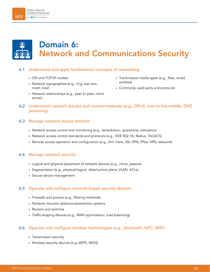#### Systems Security Ćertified Practitioner An (ISC)<sup>\*</sup> Certification

**SSCP** 

### 6.1 Understand and apply fundamental concepts of networking

» OSI and TCP/IP models

server)

» Network topographies (e.g., ring, star, bus, mesh, tree)

» Network relationships (e.g., peer to peer, client

Domain 6:

6.2 Understand network attacks and countermeasures (e.g., DDoS, man-in-the-middle, DNS poisoning)

Network and Communications Security

#### 6.3 Manage network access controls

- » Network access control and monitoring (e.g., remediation, quarantine, admission)
- » Network access control standards and protocols (e.g., IEEE 802.1X, Radius, TACACS)
- » Remote access operation and configuration (e.g., thin client, SSL VPN, IPSec VPN, telework)

#### 6.4 Manage network security

- » Logical and physical placement of network devices (e.g., inline, passive)
- » Segmentation (e.g., physical/logical, data/control plane, VLAN, ACLs)
- » Secure device management

#### 6.5 Operate and configure network-based security devices

- » Firewalls and proxies (e.g., filtering methods)
- » Network intrusion detection/prevention systems
- » Routers and switches
- » Traffic-shaping devices (e.g., WAN optimization, load balancing)

#### 6.6 Operate and configure wireless technologies (e.g., bluetooth, NFC, WiFi)

- » Transmission security
- » Wireless security devices (e.g.,WIPS, WIDS)
- » Transmission media types (e.g., fiber, wired, wireless)
- » Commonly used ports and protocols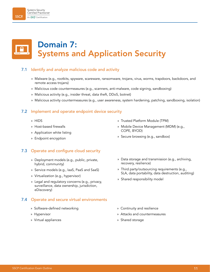#### Systems Security Certified Practitioner **SSCP** An (ISC)<sup>\*</sup> Certification

# Domain 7: Systems and Application Security

#### 7.1 Identify and analyze malicious code and activity

- » Malware (e.g., rootkits, spyware, scareware, ransomware, trojans, virus, worms, trapdoors, backdoors, and remote access trojans)
- » Malicious code countermeasures (e.g., scanners, anti-malware, code signing, sandboxing)
- » Malicious activity (e.g., insider threat, data theft, DDoS, botnet)
- » Malicious activity countermeasures (e.g., user awareness, system hardening, patching, sandboxing, isolation)

#### 7.2 Implement and operate endpoint device security

- » HIDS
- » Host-based firewalls
- » Application white listing
- » Endpoint encryption

#### 7.3 Operate and configure cloud security

- » Deployment models (e.g., public, private, hybrid, community)
- » Service models (e.g., IaaS, PaaS and SaaS)
- » Virtualization (e.g., hypervisor)
- » Legal and regulatory concerns (e.g., privacy, surveillance, data ownership, jurisdiction, eDiscovery)

#### 7.4 Operate and secure virtual environments

- » Software-defined networking
- » Hypervisor
- » Virtual appliances
- » Trusted Platform Module (TPM)
- » Mobile Device Management (MDM) (e.g., COPE, BYOD)
- » Secure browsing (e.g., sandbox)
- » Data storage and transmission (e.g., archiving, recovery, resilience)
- » Third party/outsourcing requirements (e.g., SLA, data portability, data destruction, auditing)
- » Shared responsibility model
- » Continuity and resilience
- » Attacks and countermeasures
- » Shared storage